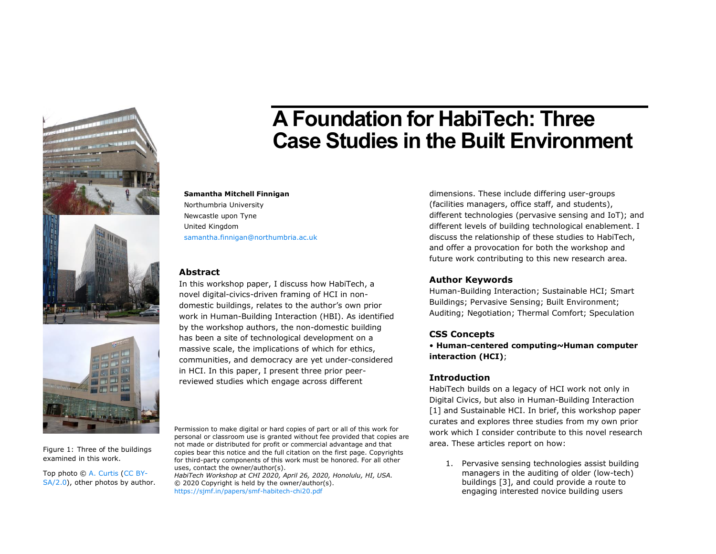





**A Foundation for HabiTech: Three Case Studies in the Built Environment**

**Samantha Mitchell Finnigan** Northumbria University Newcastle upon Tyne United Kingdom [samantha.finnigan@northumbria.ac.uk](mailto:samantha.finnigan@northumbria.ac.uk)

# **Abstract**

In this workshop paper, I discuss how HabiTech, a novel digital-civics-driven framing of HCI in nondomestic buildings, relates to the author's own prior work in Human-Building Interaction (HBI). As identified by the workshop authors, the non-domestic building has been a site of technological development on a massive scale, the implications of which for ethics, communities, and democracy are yet under-considered in HCI. In this paper, I present three prior peerreviewed studies which engage across different

dimensions. These include differing user-groups (facilities managers, office staff, and students), different technologies (pervasive sensing and IoT); and different levels of building technological enablement. I discuss the relationship of these studies to HabiTech, and offer a provocation for both the workshop and future work contributing to this new research area.

### **Author Keywords**

Human-Building Interaction; Sustainable HCI; Smart Buildings; Pervasive Sensing; Built Environment; Auditing; Negotiation; Thermal Comfort; Speculation

### **CSS Concepts**

• **Human-centered computing~Human computer interaction (HCI)**;

# **Introduction**

HabiTech builds on a legacy of HCI work not only in Digital Civics, but also in Human-Building Interaction [\[1\]](#page-3-0) and Sustainable HCI. In brief, this workshop paper curates and explores three studies from my own prior work which I consider contribute to this novel research area. These articles report on how:

1. Pervasive sensing technologies assist building managers in the auditing of older (low-tech) buildings [\[3\],](#page-3-1) and could provide a route to engaging interested novice building users

Permission to make digital or hard copies of part or all of this work for personal or classroom use is granted without fee provided that copies are not made or distributed for profit or commercial advantage and that copies bear this notice and the full citation on the first page. Copyrights for third-party components of this work must be honored. For all other uses, contact the owner/author(s).

*HabiTech Workshop at CHI 2020, April 26, 2020, Honolulu, HI, USA.* © 2020 Copyright is held by the owner/author(s). <https://sjmf.in/papers/smf-habitech-chi20.pdf>

<span id="page-0-0"></span>Figure 1: Three of the buildings examined in this work.

Top photo © A. [Curtis](https://www.geograph.org.uk/profile/32242) [\(CC BY-](http://creativecommons.org/licenses/by-sa/2.0/)[SA/2.0\)](http://creativecommons.org/licenses/by-sa/2.0/), other photos by author.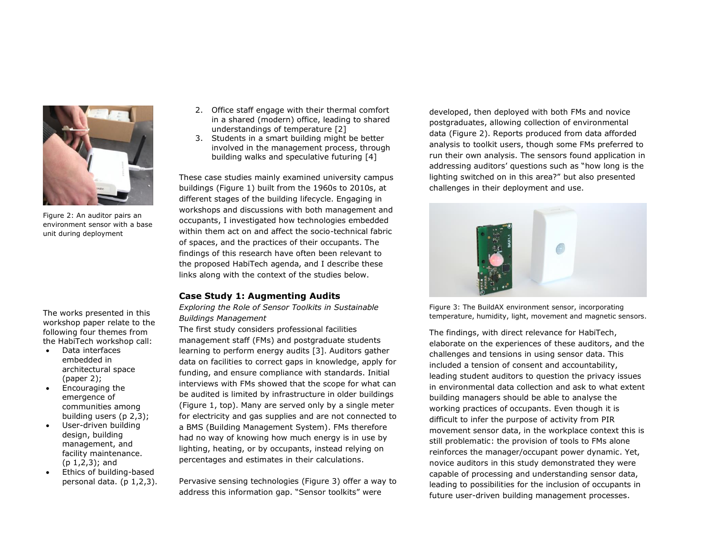

Figure 2: An auditor pairs an environment sensor with a base unit during deployment

<span id="page-1-1"></span>The works presented in this workshop paper relate to the following four themes from the HabiTech workshop call:

- Data interfaces embedded in architectural space (paper 2);
- Encouraging the emergence of communities among building users (p 2,3);
- User-driven building design, building management, and facility maintenance. (p 1,2,3); and
- Ethics of building-based personal data. (p 1,2,3).
- 2. Office staff engage with their thermal comfort in a shared (modern) office, leading to shared understandings of temperature [\[2\]](#page-3-2)
- 3. Students in a smart building might be better involved in the management process, through building walks and speculative futuring [\[4\]](#page-3-3)

These case studies mainly examined university campus buildings [\(Figure 1\)](#page-0-0) built from the 1960s to 2010s, at different stages of the building lifecycle. Engaging in workshops and discussions with both management and occupants, I investigated how technologies embedded within them act on and affect the socio-technical fabric of spaces, and the practices of their occupants. The findings of this research have often been relevant to the proposed HabiTech agenda, and I describe these links along with the context of the studies below.

# **Case Study 1: Augmenting Audits**

*Exploring the Role of Sensor Toolkits in Sustainable Buildings Management*

The first study considers professional facilities management staff (FMs) and postgraduate students learning to perform energy audits [\[3\].](#page-3-1) Auditors gather data on facilities to correct gaps in knowledge, apply for funding, and ensure compliance with standards. Initial interviews with FMs showed that the scope for what can be audited is limited by infrastructure in older buildings [\(Figure 1,](#page-0-0) top). Many are served only by a single meter for electricity and gas supplies and are not connected to a BMS (Building Management System). FMs therefore had no way of knowing how much energy is in use by lighting, heating, or by occupants, instead relying on percentages and estimates in their calculations.

Pervasive sensing technologies [\(Figure 3\)](#page-1-0) offer a way to address this information gap. "Sensor toolkits" were

developed, then deployed with both FMs and novice postgraduates, allowing collection of environmental data [\(Figure 2\)](#page-1-1). Reports produced from data afforded analysis to toolkit users, though some FMs preferred to run their own analysis. The sensors found application in addressing auditors' questions such as "how long is the lighting switched on in this area?" but also presented challenges in their deployment and use.



<span id="page-1-0"></span>Figure 3: The BuildAX environment sensor, incorporating temperature, humidity, light, movement and magnetic sensors.

The findings, with direct relevance for HabiTech, elaborate on the experiences of these auditors, and the challenges and tensions in using sensor data. This included a tension of consent and accountability, leading student auditors to question the privacy issues in environmental data collection and ask to what extent building managers should be able to analyse the working practices of occupants. Even though it is difficult to infer the purpose of activity from PIR movement sensor data, in the workplace context this is still problematic: the provision of tools to FMs alone reinforces the manager/occupant power dynamic. Yet, novice auditors in this study demonstrated they were capable of processing and understanding sensor data, leading to possibilities for the inclusion of occupants in future user-driven building management processes.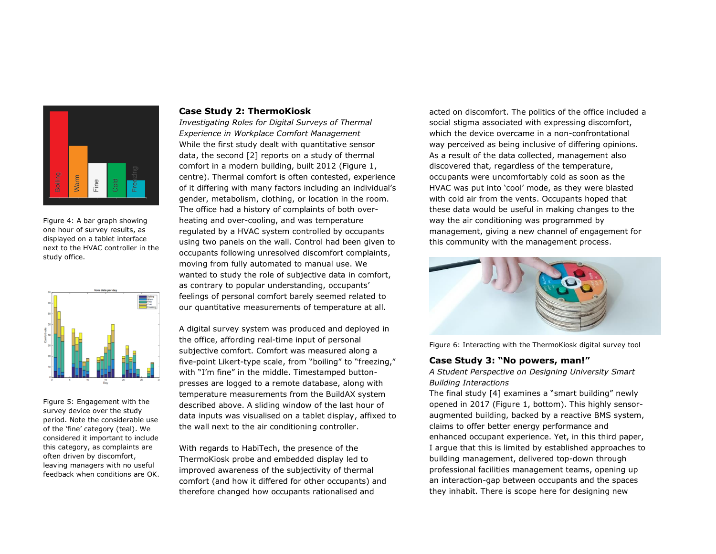

Figure 4: A bar graph showing one hour of survey results, as displayed on a tablet interface next to the HVAC controller in the study office.



Figure 5: Engagement with the survey device over the study period. Note the considerable use of the 'fine' category (teal). We considered it important to include this category, as complaints are often driven by discomfort, leaving managers with no useful feedback when conditions are OK.

#### **Case Study 2: ThermoKiosk**

*Investigating Roles for Digital Surveys of Thermal Experience in Workplace Comfort Management* While the first study dealt with quantitative sensor data, the second [\[2\]](#page-3-2) reports on a study of thermal comfort in a modern building, built 2012 [\(Figure 1,](#page-0-0) centre). Thermal comfort is often contested, experience of it differing with many factors including an individual's gender, metabolism, clothing, or location in the room. The office had a history of complaints of both overheating and over-cooling, and was temperature regulated by a HVAC system controlled by occupants using two panels on the wall. Control had been given to occupants following unresolved discomfort complaints, moving from fully automated to manual use. We wanted to study the role of subjective data in comfort, as contrary to popular understanding, occupants' feelings of personal comfort barely seemed related to our quantitative measurements of temperature at all.

A digital survey system was produced and deployed in the office, affording real-time input of personal subjective comfort. Comfort was measured along a five-point Likert-type scale, from "boiling" to "freezing," with "I'm fine" in the middle. Timestamped buttonpresses are logged to a remote database, along with temperature measurements from the BuildAX system described above. A sliding window of the last hour of data inputs was visualised on a tablet display, affixed to the wall next to the air conditioning controller.

With regards to HabiTech, the presence of the ThermoKiosk probe and embedded display led to improved awareness of the subjectivity of thermal comfort (and how it differed for other occupants) and therefore changed how occupants rationalised and

acted on discomfort. The politics of the office included a social stigma associated with expressing discomfort, which the device overcame in a non-confrontational way perceived as being inclusive of differing opinions. As a result of the data collected, management also discovered that, regardless of the temperature, occupants were uncomfortably cold as soon as the HVAC was put into 'cool' mode, as they were blasted with cold air from the vents. Occupants hoped that these data would be useful in making changes to the way the air conditioning was programmed by management, giving a new channel of engagement for this community with the management process.



Figure 6: Interacting with the ThermoKiosk digital survey tool

# **Case Study 3: "No powers, man!"**

*A Student Perspective on Designing University Smart Building Interactions*

The final study [\[4\]](#page-3-3) examines a "smart building" newly opened in 2017 [\(Figure 1,](#page-0-0) bottom). This highly sensoraugmented building, backed by a reactive BMS system, claims to offer better energy performance and enhanced occupant experience. Yet, in this third paper, I argue that this is limited by established approaches to building management, delivered top-down through professional facilities management teams, opening up an interaction-gap between occupants and the spaces they inhabit. There is scope here for designing new